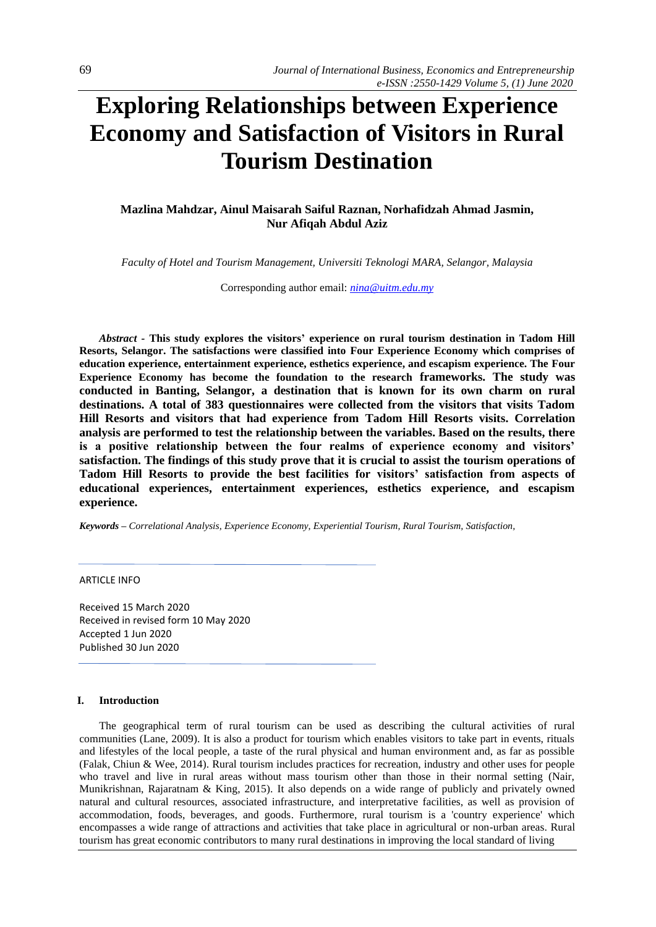# **Exploring Relationships between Experience Economy and Satisfaction of Visitors in Rural Tourism Destination**

# **Mazlina Mahdzar, Ainul Maisarah Saiful Raznan, Norhafidzah Ahmad Jasmin, Nur Afiqah Abdul Aziz**

*Faculty of Hotel and Tourism Management, Universiti Teknologi MARA, Selangor, Malaysia*

Corresponding author email: *[nina@uitm.edu.my](mailto:nina@uitm.edu.my)*

*Abstract -* **This study explores the visitors' experience on rural tourism destination in Tadom Hill Resorts, Selangor. The satisfactions were classified into Four Experience Economy which comprises of education experience, entertainment experience, esthetics experience, and escapism experience. The Four Experience Economy has become the foundation to the research frameworks. The study was conducted in Banting, Selangor, a destination that is known for its own charm on rural destinations. A total of 383 questionnaires were collected from the visitors that visits Tadom Hill Resorts and visitors that had experience from Tadom Hill Resorts visits. Correlation analysis are performed to test the relationship between the variables. Based on the results, there is a positive relationship between the four realms of experience economy and visitors' satisfaction. The findings of this study prove that it is crucial to assist the tourism operations of Tadom Hill Resorts to provide the best facilities for visitors' satisfaction from aspects of educational experiences, entertainment experiences, esthetics experience, and escapism experience.**

*Keywords – Correlational Analysis, Experience Economy, Experiential Tourism, Rural Tourism, Satisfaction,* 

## ARTICLE INFO

Received 15 March 2020 Received in revised form 10 May 2020 Accepted 1 Jun 2020 Published 30 Jun 2020

#### **I. Introduction**

The geographical term of rural tourism can be used as describing the cultural activities of rural communities (Lane, 2009). It is also a product for tourism which enables visitors to take part in events, rituals and lifestyles of the local people, a taste of the rural physical and human environment and, as far as possible (Falak, Chiun & Wee, 2014). Rural tourism includes practices for recreation, industry and other uses for people who travel and live in rural areas without mass tourism other than those in their normal setting (Nair, Munikrishnan, Rajaratnam & King, 2015). It also depends on a wide range of publicly and privately owned natural and cultural resources, associated infrastructure, and interpretative facilities, as well as provision of accommodation, foods, beverages, and goods. Furthermore, rural tourism is a 'country experience' which encompasses a wide range of attractions and activities that take place in agricultural or non-urban areas. Rural tourism has great economic contributors to many rural destinations in improving the local standard of living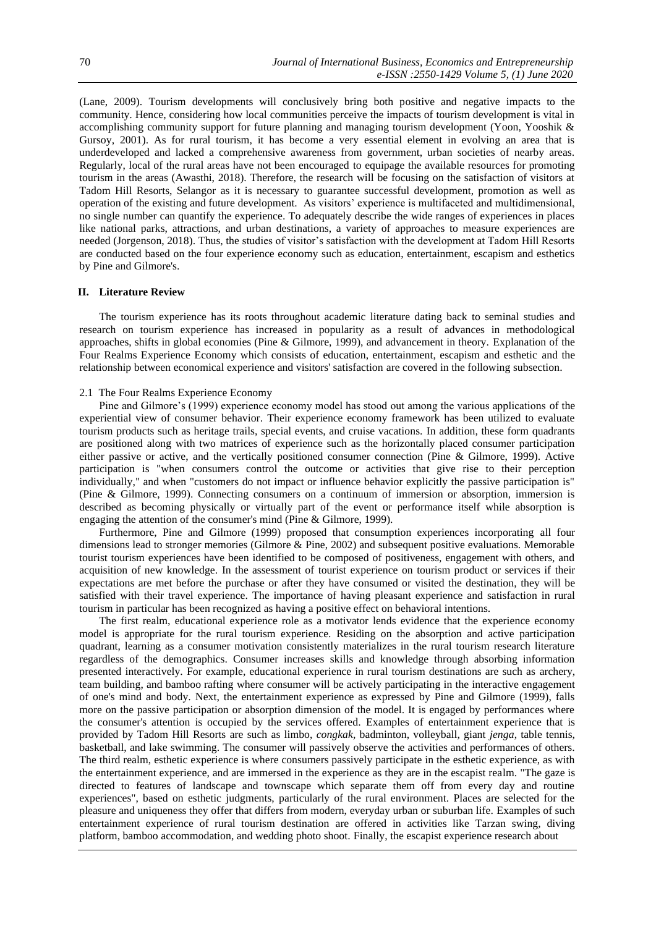(Lane, 2009). Tourism developments will conclusively bring both positive and negative impacts to the community. Hence, considering how local communities perceive the impacts of tourism development is vital in accomplishing community support for future planning and managing tourism development (Yoon, Yooshik & Gursoy, 2001). As for rural tourism, it has become a very essential element in evolving an area that is underdeveloped and lacked a comprehensive awareness from government, urban societies of nearby areas. Regularly, local of the rural areas have not been encouraged to equipage the available resources for promoting tourism in the areas (Awasthi, 2018). Therefore, the research will be focusing on the satisfaction of visitors at Tadom Hill Resorts, Selangor as it is necessary to guarantee successful development, promotion as well as operation of the existing and future development. As visitors' experience is multifaceted and multidimensional, no single number can quantify the experience. To adequately describe the wide ranges of experiences in places like national parks, attractions, and urban destinations, a variety of approaches to measure experiences are needed (Jorgenson, 2018). Thus, the studies of visitor's satisfaction with the development at Tadom Hill Resorts are conducted based on the four experience economy such as education, entertainment, escapism and esthetics by Pine and Gilmore's.

#### **II. Literature Review**

The tourism experience has its roots throughout academic literature dating back to seminal studies and research on tourism experience has increased in popularity as a result of advances in methodological approaches, shifts in global economies (Pine & Gilmore, 1999), and advancement in theory. Explanation of the Four Realms Experience Economy which consists of education, entertainment, escapism and esthetic and the relationship between economical experience and visitors' satisfaction are covered in the following subsection.

## 2.1 The Four Realms Experience Economy

Pine and Gilmore's (1999) experience economy model has stood out among the various applications of the experiential view of consumer behavior. Their experience economy framework has been utilized to evaluate tourism products such as heritage trails, special events, and cruise vacations. In addition, these form quadrants are positioned along with two matrices of experience such as the horizontally placed consumer participation either passive or active, and the vertically positioned consumer connection (Pine & Gilmore, 1999). Active participation is "when consumers control the outcome or activities that give rise to their perception individually," and when "customers do not impact or influence behavior explicitly the passive participation is" (Pine & Gilmore, 1999). Connecting consumers on a continuum of immersion or absorption, immersion is described as becoming physically or virtually part of the event or performance itself while absorption is engaging the attention of the consumer's mind (Pine & Gilmore, 1999).

Furthermore, Pine and Gilmore (1999) proposed that consumption experiences incorporating all four dimensions lead to stronger memories (Gilmore & Pine, 2002) and subsequent positive evaluations. Memorable tourist tourism experiences have been identified to be composed of positiveness, engagement with others, and acquisition of new knowledge. In the assessment of tourist experience on tourism product or services if their expectations are met before the purchase or after they have consumed or visited the destination, they will be satisfied with their travel experience. The importance of having pleasant experience and satisfaction in rural tourism in particular has been recognized as having a positive effect on behavioral intentions.

The first realm, educational experience role as a motivator lends evidence that the experience economy model is appropriate for the rural tourism experience. Residing on the absorption and active participation quadrant, learning as a consumer motivation consistently materializes in the rural tourism research literature regardless of the demographics. Consumer increases skills and knowledge through absorbing information presented interactively. For example, educational experience in rural tourism destinations are such as archery, team building, and bamboo rafting where consumer will be actively participating in the interactive engagement of one's mind and body. Next, the entertainment experience as expressed by Pine and Gilmore (1999), falls more on the passive participation or absorption dimension of the model. It is engaged by performances where the consumer's attention is occupied by the services offered. Examples of entertainment experience that is provided by Tadom Hill Resorts are such as limbo, *congkak*, badminton, volleyball, giant *jenga*, table tennis, basketball, and lake swimming. The consumer will passively observe the activities and performances of others. The third realm, esthetic experience is where consumers passively participate in the esthetic experience, as with the entertainment experience, and are immersed in the experience as they are in the escapist realm. "The gaze is directed to features of landscape and townscape which separate them off from every day and routine experiences", based on esthetic judgments, particularly of the rural environment. Places are selected for the pleasure and uniqueness they offer that differs from modern, everyday urban or suburban life. Examples of such entertainment experience of rural tourism destination are offered in activities like Tarzan swing, diving platform, bamboo accommodation, and wedding photo shoot. Finally, the escapist experience research about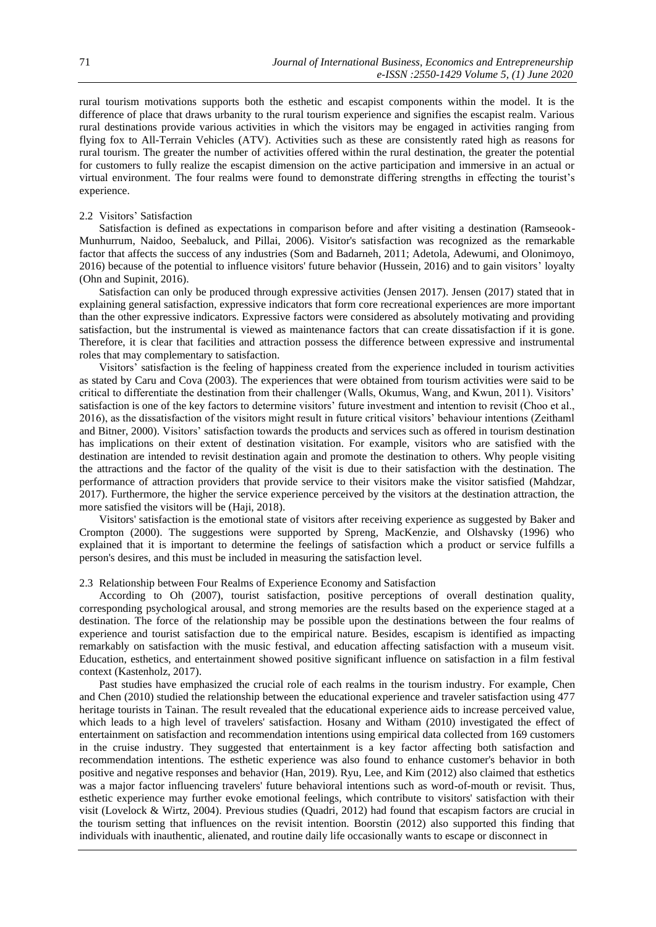rural tourism motivations supports both the esthetic and escapist components within the model. It is the difference of place that draws urbanity to the rural tourism experience and signifies the escapist realm. Various rural destinations provide various activities in which the visitors may be engaged in activities ranging from flying fox to All-Terrain Vehicles (ATV). Activities such as these are consistently rated high as reasons for rural tourism. The greater the number of activities offered within the rural destination, the greater the potential for customers to fully realize the escapist dimension on the active participation and immersive in an actual or virtual environment. The four realms were found to demonstrate differing strengths in effecting the tourist's experience.

#### 2.2 Visitors' Satisfaction

Satisfaction is defined as expectations in comparison before and after visiting a destination (Ramseook-Munhurrum, Naidoo, Seebaluck, and Pillai, 2006). Visitor's satisfaction was recognized as the remarkable factor that affects the success of any industries (Som and Badarneh, 2011; Adetola, Adewumi, and Olonimoyo, 2016) because of the potential to influence visitors' future behavior (Hussein, 2016) and to gain visitors' loyalty (Ohn and Supinit, 2016).

Satisfaction can only be produced through expressive activities (Jensen 2017). Jensen (2017) stated that in explaining general satisfaction, expressive indicators that form core recreational experiences are more important than the other expressive indicators. Expressive factors were considered as absolutely motivating and providing satisfaction, but the instrumental is viewed as maintenance factors that can create dissatisfaction if it is gone. Therefore, it is clear that facilities and attraction possess the difference between expressive and instrumental roles that may complementary to satisfaction.

Visitors' satisfaction is the feeling of happiness created from the experience included in tourism activities as stated by Caru and Cova (2003). The experiences that were obtained from tourism activities were said to be critical to differentiate the destination from their challenger (Walls, Okumus, Wang, and Kwun, 2011). Visitors' satisfaction is one of the key factors to determine visitors' future investment and intention to revisit (Choo et al., 2016), as the dissatisfaction of the visitors might result in future critical visitors' behaviour intentions (Zeithaml and Bitner, 2000). Visitors' satisfaction towards the products and services such as offered in tourism destination has implications on their extent of destination visitation. For example, visitors who are satisfied with the destination are intended to revisit destination again and promote the destination to others. Why people visiting the attractions and the factor of the quality of the visit is due to their satisfaction with the destination. The performance of attraction providers that provide service to their visitors make the visitor satisfied (Mahdzar, 2017). Furthermore, the higher the service experience perceived by the visitors at the destination attraction, the more satisfied the visitors will be (Haji, 2018).

Visitors' satisfaction is the emotional state of visitors after receiving experience as suggested by Baker and Crompton (2000). The suggestions were supported by Spreng, MacKenzie, and Olshavsky (1996) who explained that it is important to determine the feelings of satisfaction which a product or service fulfills a person's desires, and this must be included in measuring the satisfaction level.

#### 2.3 Relationship between Four Realms of Experience Economy and Satisfaction

According to Oh (2007), tourist satisfaction, positive perceptions of overall destination quality, corresponding psychological arousal, and strong memories are the results based on the experience staged at a destination. The force of the relationship may be possible upon the destinations between the four realms of experience and tourist satisfaction due to the empirical nature. Besides, escapism is identified as impacting remarkably on satisfaction with the music festival, and education affecting satisfaction with a museum visit. Education, esthetics, and entertainment showed positive significant influence on satisfaction in a film festival context (Kastenholz, 2017).

Past studies have emphasized the crucial role of each realms in the tourism industry. For example, Chen and Chen (2010) studied the relationship between the educational experience and traveler satisfaction using 477 heritage tourists in Tainan. The result revealed that the educational experience aids to increase perceived value, which leads to a high level of travelers' satisfaction. Hosany and Witham (2010) investigated the effect of entertainment on satisfaction and recommendation intentions using empirical data collected from 169 customers in the cruise industry. They suggested that entertainment is a key factor affecting both satisfaction and recommendation intentions. The esthetic experience was also found to enhance customer's behavior in both positive and negative responses and behavior (Han, 2019). Ryu, Lee, and Kim (2012) also claimed that esthetics was a major factor influencing travelers' future behavioral intentions such as word-of-mouth or revisit. Thus, esthetic experience may further evoke emotional feelings, which contribute to visitors' satisfaction with their visit (Lovelock & Wirtz, 2004). Previous studies (Quadri, 2012) had found that escapism factors are crucial in the tourism setting that influences on the revisit intention. Boorstin (2012) also supported this finding that individuals with inauthentic, alienated, and routine daily life occasionally wants to escape or disconnect in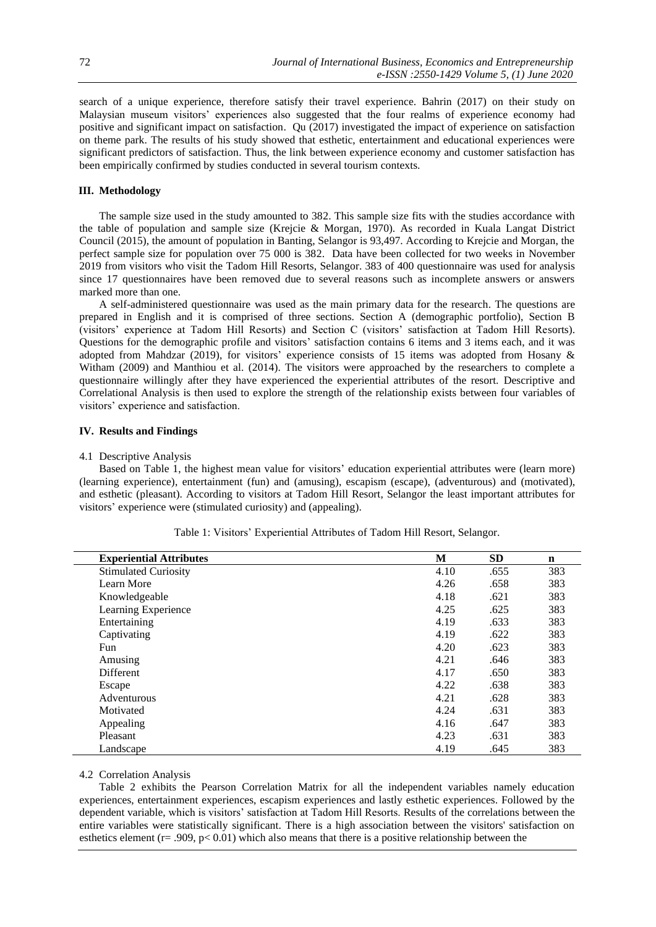search of a unique experience, therefore satisfy their travel experience. Bahrin (2017) on their study on Malaysian museum visitors' experiences also suggested that the four realms of experience economy had positive and significant impact on satisfaction. Qu (2017) investigated the impact of experience on satisfaction on theme park. The results of his study showed that esthetic, entertainment and educational experiences were significant predictors of satisfaction. Thus, the link between experience economy and customer satisfaction has been empirically confirmed by studies conducted in several tourism contexts.

# **III. Methodology**

The sample size used in the study amounted to 382. This sample size fits with the studies accordance with the table of population and sample size (Krejcie & Morgan, 1970). As recorded in Kuala Langat District Council (2015), the amount of population in Banting, Selangor is 93,497. According to Krejcie and Morgan, the perfect sample size for population over 75 000 is 382. Data have been collected for two weeks in November 2019 from visitors who visit the Tadom Hill Resorts, Selangor. 383 of 400 questionnaire was used for analysis since 17 questionnaires have been removed due to several reasons such as incomplete answers or answers marked more than one.

A self-administered questionnaire was used as the main primary data for the research. The questions are prepared in English and it is comprised of three sections. Section A (demographic portfolio), Section B (visitors' experience at Tadom Hill Resorts) and Section C (visitors' satisfaction at Tadom Hill Resorts). Questions for the demographic profile and visitors' satisfaction contains 6 items and 3 items each, and it was adopted from Mahdzar (2019), for visitors' experience consists of 15 items was adopted from Hosany & Witham (2009) and Manthiou et al. (2014). The visitors were approached by the researchers to complete a questionnaire willingly after they have experienced the experiential attributes of the resort. Descriptive and Correlational Analysis is then used to explore the strength of the relationship exists between four variables of visitors' experience and satisfaction.

## **IV. Results and Findings**

#### 4.1 Descriptive Analysis

Based on Table 1, the highest mean value for visitors' education experiential attributes were (learn more) (learning experience), entertainment (fun) and (amusing), escapism (escape), (adventurous) and (motivated), and esthetic (pleasant). According to visitors at Tadom Hill Resort, Selangor the least important attributes for visitors' experience were (stimulated curiosity) and (appealing).

| <b>Experiential Attributes</b> | M    | <b>SD</b> | $\mathbf n$ |
|--------------------------------|------|-----------|-------------|
| <b>Stimulated Curiosity</b>    | 4.10 | .655      | 383         |
| Learn More                     | 4.26 | .658      | 383         |
| Knowledgeable                  | 4.18 | .621      | 383         |
| Learning Experience            | 4.25 | .625      | 383         |
| Entertaining                   | 4.19 | .633      | 383         |
| Captivating                    | 4.19 | .622      | 383         |
| Fun                            | 4.20 | .623      | 383         |
| Amusing                        | 4.21 | .646      | 383         |
| <b>Different</b>               | 4.17 | .650      | 383         |
| Escape                         | 4.22 | .638      | 383         |
| Adventurous                    | 4.21 | .628      | 383         |
| Motivated                      | 4.24 | .631      | 383         |
| Appealing                      | 4.16 | .647      | 383         |
| Pleasant                       | 4.23 | .631      | 383         |
| Landscape                      | 4.19 | .645      | 383         |

Table 1: Visitors' Experiential Attributes of Tadom Hill Resort, Selangor.

#### 4.2 Correlation Analysis

Table 2 exhibits the Pearson Correlation Matrix for all the independent variables namely education experiences, entertainment experiences, escapism experiences and lastly esthetic experiences. Followed by the dependent variable, which is visitors' satisfaction at Tadom Hill Resorts. Results of the correlations between the entire variables were statistically significant. There is a high association between the visitors' satisfaction on esthetics element ( $r = .909$ ,  $p < 0.01$ ) which also means that there is a positive relationship between the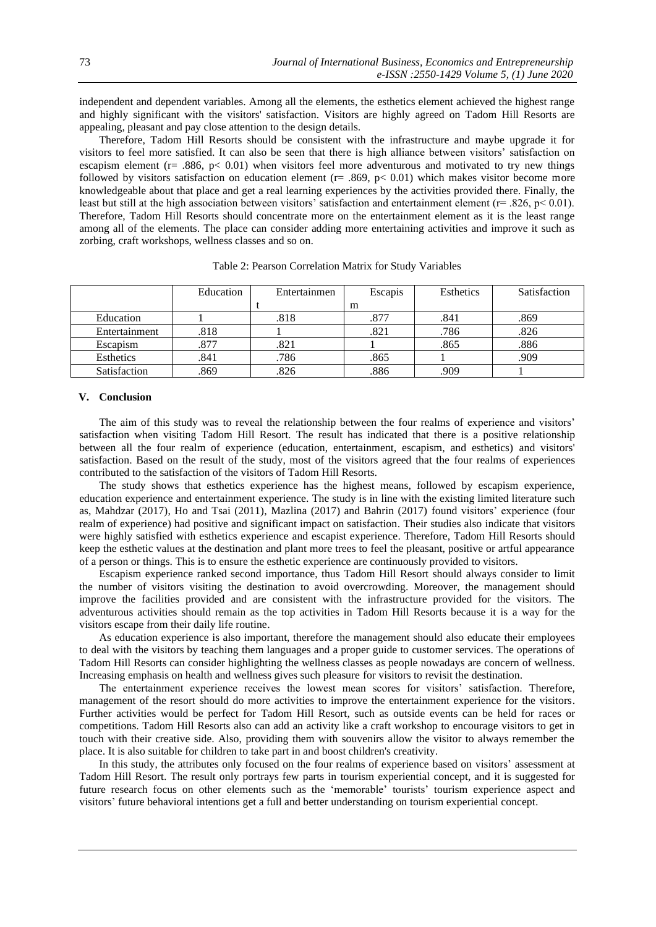independent and dependent variables. Among all the elements, the esthetics element achieved the highest range and highly significant with the visitors' satisfaction. Visitors are highly agreed on Tadom Hill Resorts are appealing, pleasant and pay close attention to the design details.

Therefore, Tadom Hill Resorts should be consistent with the infrastructure and maybe upgrade it for visitors to feel more satisfied. It can also be seen that there is high alliance between visitors' satisfaction on escapism element ( $r=$  .886,  $p<$  0.01) when visitors feel more adventurous and motivated to try new things followed by visitors satisfaction on education element ( $r = .869$ ,  $p < 0.01$ ) which makes visitor become more knowledgeable about that place and get a real learning experiences by the activities provided there. Finally, the least but still at the high association between visitors' satisfaction and entertainment element ( $r=$  .826,  $p<$  0.01). Therefore, Tadom Hill Resorts should concentrate more on the entertainment element as it is the least range among all of the elements. The place can consider adding more entertaining activities and improve it such as zorbing, craft workshops, wellness classes and so on.

|               | Education | Entertainmen | Escapis | Esthetics | Satisfaction |
|---------------|-----------|--------------|---------|-----------|--------------|
|               |           |              | m       |           |              |
| Education     |           | .818         | .877    | .841      | .869         |
| Entertainment | .818      |              | .821    | .786      | .826         |
| Escapism      | 877       | .821         |         | .865      | .886         |
| Esthetics     | .841      | .786         | .865    |           | .909         |
| Satisfaction  | .869      | .826         | .886    | .909      |              |

Table 2: Pearson Correlation Matrix for Study Variables

## **V. Conclusion**

The aim of this study was to reveal the relationship between the four realms of experience and visitors' satisfaction when visiting Tadom Hill Resort. The result has indicated that there is a positive relationship between all the four realm of experience (education, entertainment, escapism, and esthetics) and visitors' satisfaction. Based on the result of the study, most of the visitors agreed that the four realms of experiences contributed to the satisfaction of the visitors of Tadom Hill Resorts.

The study shows that esthetics experience has the highest means, followed by escapism experience, education experience and entertainment experience. The study is in line with the existing limited literature such as, Mahdzar (2017), Ho and Tsai (2011), Mazlina (2017) and Bahrin (2017) found visitors' experience (four realm of experience) had positive and significant impact on satisfaction. Their studies also indicate that visitors were highly satisfied with esthetics experience and escapist experience. Therefore, Tadom Hill Resorts should keep the esthetic values at the destination and plant more trees to feel the pleasant, positive or artful appearance of a person or things. This is to ensure the esthetic experience are continuously provided to visitors.

Escapism experience ranked second importance, thus Tadom Hill Resort should always consider to limit the number of visitors visiting the destination to avoid overcrowding. Moreover, the management should improve the facilities provided and are consistent with the infrastructure provided for the visitors. The adventurous activities should remain as the top activities in Tadom Hill Resorts because it is a way for the visitors escape from their daily life routine.

As education experience is also important, therefore the management should also educate their employees to deal with the visitors by teaching them languages and a proper guide to customer services. The operations of Tadom Hill Resorts can consider highlighting the wellness classes as people nowadays are concern of wellness. Increasing emphasis on health and wellness gives such pleasure for visitors to revisit the destination.

The entertainment experience receives the lowest mean scores for visitors' satisfaction. Therefore, management of the resort should do more activities to improve the entertainment experience for the visitors. Further activities would be perfect for Tadom Hill Resort, such as outside events can be held for races or competitions. Tadom Hill Resorts also can add an activity like a craft workshop to encourage visitors to get in touch with their creative side. Also, providing them with souvenirs allow the visitor to always remember the place. It is also suitable for children to take part in and boost children's creativity.

In this study, the attributes only focused on the four realms of experience based on visitors' assessment at Tadom Hill Resort. The result only portrays few parts in tourism experiential concept, and it is suggested for future research focus on other elements such as the 'memorable' tourists' tourism experience aspect and visitors' future behavioral intentions get a full and better understanding on tourism experiential concept.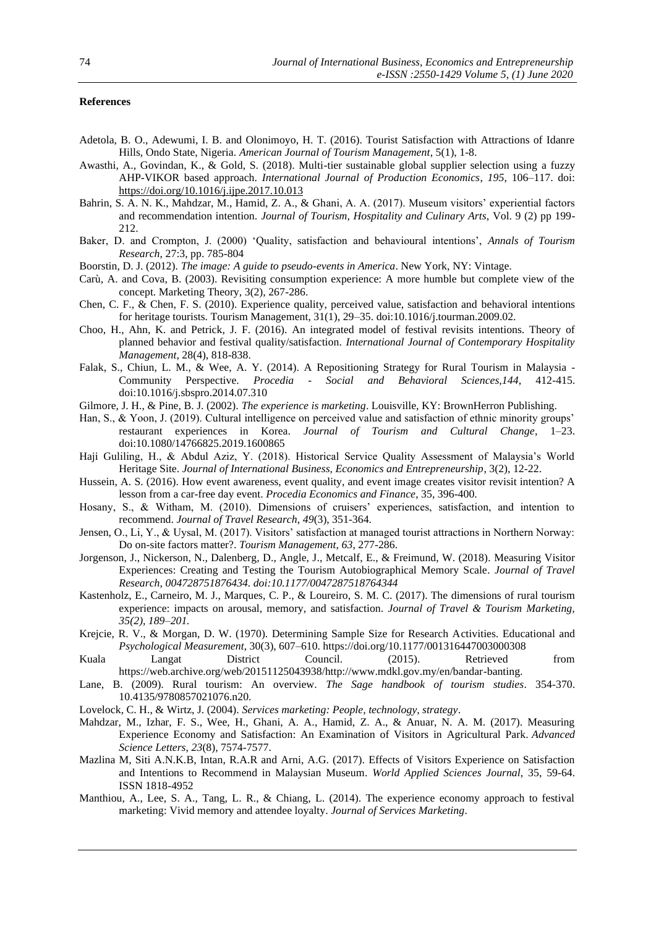# **References**

- Adetola, B. O., Adewumi, I. B. and Olonimoyo, H. T. (2016). Tourist Satisfaction with Attractions of Idanre Hills, Ondo State, Nigeria. *American Journal of Tourism Management*, 5(1), 1-8.
- Awasthi, A., Govindan, K., & Gold, S. (2018). Multi-tier sustainable global supplier selection using a fuzzy AHP-VIKOR based approach. *International Journal of Production Economics*, *195*, 106–117. doi: <https://doi.org/10.1016/j.ijpe.2017.10.013>
- Bahrin, S. A. N. K., Mahdzar, M., Hamid, Z. A., & Ghani, A. A. (2017). Museum visitors' experiential factors and recommendation intention. *Journal of Tourism, Hospitality and Culinary Arts*, Vol. 9 (2) pp 199- 212.
- Baker, D. and Crompton, J. (2000) 'Quality, satisfaction and behavioural intentions', *Annals of Tourism Research*, 27:3, pp. 785-804
- Boorstin, D. J. (2012). *The image: A guide to pseudo-events in America*. New York, NY: Vintage.
- Carù, A. and Cova, B. (2003). Revisiting consumption experience: A more humble but complete view of the concept. Marketing Theory, 3(2), 267-286.
- Chen, C. F., & Chen, F. S. (2010). Experience quality, perceived value, satisfaction and behavioral intentions for heritage tourists. Tourism Management, 31(1), 29–35. doi:10.1016/j.tourman.2009.02.
- Choo, H., Ahn, K. and Petrick, J. F. (2016). An integrated model of festival revisits intentions. Theory of planned behavior and festival quality/satisfaction. *International Journal of Contemporary Hospitality Management*, 28(4), 818-838.
- Falak, S., Chiun, L. M., & Wee, A. Y. (2014). A Repositioning Strategy for Rural Tourism in Malaysia Community Perspective. *Procedia - Social and Behavioral Sciences,144*, 412-415. doi:10.1016/j.sbspro.2014.07.310
- Gilmore, J. H., & Pine, B. J. (2002). *The experience is marketing*. Louisville, KY: BrownHerron Publishing.
- Han, S., & Yoon, J. (2019). Cultural intelligence on perceived value and satisfaction of ethnic minority groups' restaurant experiences in Korea. *Journal of Tourism and Cultural Change*, 1–23. doi:10.1080/14766825.2019.1600865
- Haji Guliling, H., & Abdul Aziz, Y. (2018). Historical Service Quality Assessment of Malaysia's World Heritage Site. *Journal of International Business, Economics and Entrepreneurship*, 3(2), 12-22.
- Hussein, A. S. (2016). How event awareness, event quality, and event image creates visitor revisit intention? A lesson from a car-free day event. *Procedia Economics and Finance*, 35, 396-400.
- Hosany, S., & Witham, M. (2010). Dimensions of cruisers' experiences, satisfaction, and intention to recommend. *Journal of Travel Research*, *49*(3), 351-364.
- Jensen, O., Li, Y., & Uysal, M. (2017). Visitors' satisfaction at managed tourist attractions in Northern Norway: Do on-site factors matter?. *Tourism Management*, *63*, 277-286.
- Jorgenson, J., Nickerson, N., Dalenberg, D., Angle, J., Metcalf, E., & Freimund, W. (2018)*.* Measuring Visitor Experiences: Creating and Testing the Tourism Autobiographical Memory Scale*. Journal of Travel Research, 004728751876434. doi:10.1177/0047287518764344*
- Kastenholz, E., Carneiro, M. J., Marques, C. P., & Loureiro, S. M. C. (2017). The dimensions of rural tourism experience: impacts on arousal, memory, and satisfaction*. Journal of Travel & Tourism Marketing, 35(2), 189–201.*
- Krejcie, R. V., & Morgan, D. W. (1970). Determining Sample Size for Research Activities. Educational and *Psychological Measurement*, 30(3), 607–610. https://doi.org/10.1177/001316447003000308
- Kuala Langat District Council. (2015). Retrieved from https://web.archive.org/web/20151125043938/http://www.mdkl.gov.my/en/bandar-banting.
- Lane, B. (2009). Rural tourism: An overview. *The Sage handbook of tourism studies*. 354-370. 10.4135/9780857021076.n20.
- Lovelock, C. H., & Wirtz, J. (2004). *Services marketing: People, technology, strategy*.
- Mahdzar, M., Izhar, F. S., Wee, H., Ghani, A. A., Hamid, Z. A., & Anuar, N. A. M. (2017). Measuring Experience Economy and Satisfaction: An Examination of Visitors in Agricultural Park. *Advanced Science Letters*, *23*(8), 7574-7577.
- Mazlina M, Siti A.N.K.B, Intan, R.A.R and Arni, A.G. (2017). Effects of Visitors Experience on Satisfaction and Intentions to Recommend in Malaysian Museum. *World Applied Sciences Journal*, 35, 59-64. ISSN 1818-4952
- Manthiou, A., Lee, S. A., Tang, L. R., & Chiang, L. (2014). The experience economy approach to festival marketing: Vivid memory and attendee loyalty. *Journal of Services Marketing*.